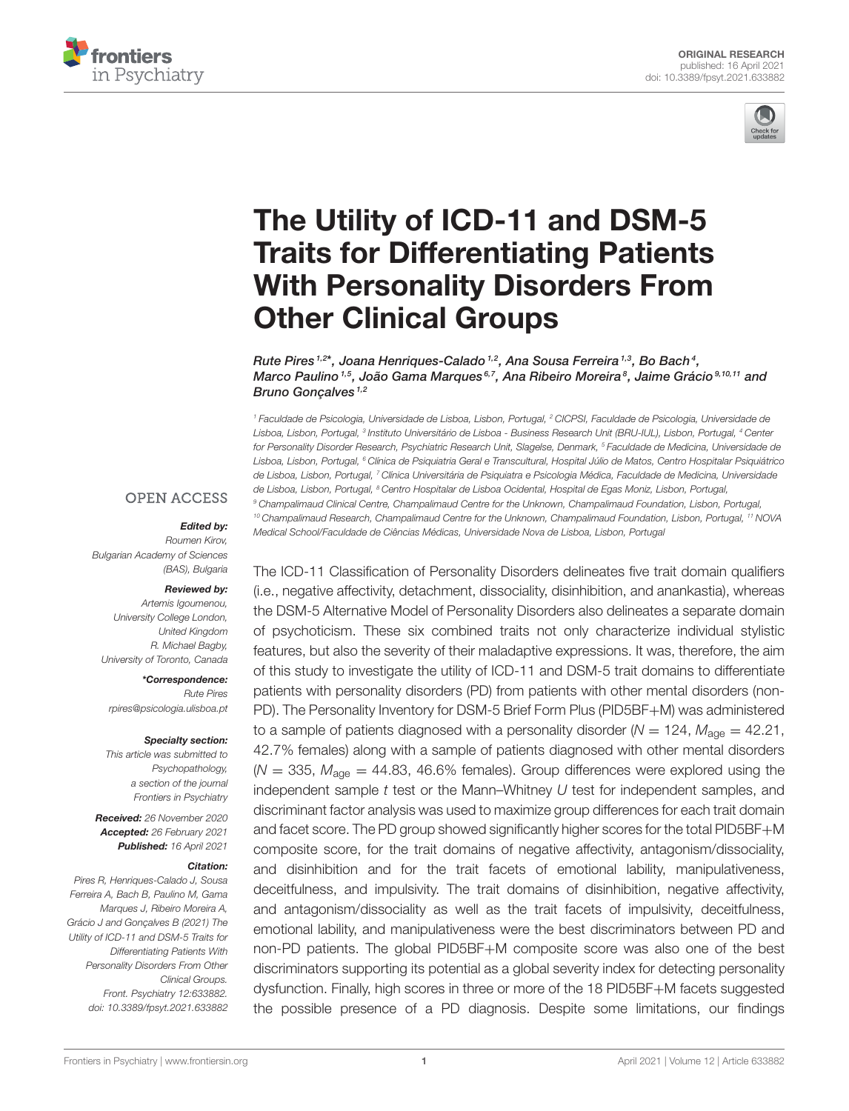



# The Utility of ICD-11 and DSM-5 [Traits for Differentiating Patients](https://www.frontiersin.org/articles/10.3389/fpsyt.2021.633882/full) With Personality Disorders From Other Clinical Groups

Rute Pires <sup>1,2\*</sup>, Joana Henriques-Calado <sup>1,2</sup>, Ana Sousa Ferreira <sup>1,3</sup>, Bo Bach <sup>4</sup>, Marco Paulino <sup>1,5</sup>, João Gama Marques <sup>6,7</sup>, Ana Ribeiro Moreira <sup>8</sup>, Jaime Grácio <sup>9,10,11</sup> and Bruno Gonçalves<sup>1,2</sup>

<sup>1</sup> Faculdade de Psicologia, Universidade de Lisboa, Lisbon, Portugal, <sup>2</sup> CICPSI, Faculdade de Psicologia, Universidade de Lisboa, Lisbon, Portugal, <sup>3</sup> Instituto Universitário de Lisboa - Business Research Unit (BRU-IUL), Lisbon, Portugal, <sup>4</sup> Center for Personality Disorder Research, Psychiatric Research Unit, Slagelse, Denmark, <sup>5</sup> Faculdade de Medicina, Universidade de Lisboa, Lisbon, Portugal, <sup>6</sup> Clínica de Psiquiatria Geral e Transcultural, Hospital Júlio de Matos, Centro Hospitalar Psiquiátrico de Lisboa, Lisbon, Portugal, <sup>7</sup> Clínica Universitária de Psiquiatra e Psicologia Médica, Faculdade de Medicina, Universidade de Lisboa, Lisbon, Portugal, <sup>8</sup> Centro Hospitalar de Lisboa Ocidental, Hospital de Egas Moniz, Lisbon, Portugal <sup>9</sup> Champalimaud Clinical Centre, Champalimaud Centre for the Unknown, Champalimaud Foundation, Lisbon, Portugal, <sup>10</sup> Champalimaud Research, Champalimaud Centre for the Unknown, Champalimaud Foundation, Lisbon, Portugal, <sup>11</sup> NOVA Medical School/Faculdade de Ciências Médicas, Universidade Nova de Lisboa, Lisbon, Portugal

#### **OPEN ACCESS**

#### Edited by:

Roumen Kirov, Bulgarian Academy of Sciences (BAS), Bulgaria

#### Reviewed by:

Artemis Igoumenou, University College London, United Kingdom R. Michael Bagby, University of Toronto, Canada

\*Correspondence: Rute Pires [rpires@psicologia.ulisboa.pt](mailto:rpires@psicologia.ulisboa.pt)

#### Specialty section:

This article was submitted to Psychopathology, a section of the journal Frontiers in Psychiatry

Received: 26 November 2020 Accepted: 26 February 2021 Published: 16 April 2021

#### Citation:

Pires R, Henriques-Calado J, Sousa Ferreira A, Bach B, Paulino M, Gama Marques J, Ribeiro Moreira A, Grácio J and Gonçalves B (2021) The Utility of ICD-11 and DSM-5 Traits for Differentiating Patients With Personality Disorders From Other Clinical Groups. Front. Psychiatry 12:633882. doi: [10.3389/fpsyt.2021.633882](https://doi.org/10.3389/fpsyt.2021.633882) The ICD-11 Classification of Personality Disorders delineates five trait domain qualifiers (i.e., negative affectivity, detachment, dissociality, disinhibition, and anankastia), whereas the DSM-5 Alternative Model of Personality Disorders also delineates a separate domain of psychoticism. These six combined traits not only characterize individual stylistic features, but also the severity of their maladaptive expressions. It was, therefore, the aim of this study to investigate the utility of ICD-11 and DSM-5 trait domains to differentiate patients with personality disorders (PD) from patients with other mental disorders (non-PD). The Personality Inventory for DSM-5 Brief Form Plus (PID5BF+M) was administered to a sample of patients diagnosed with a personality disorder ( $N = 124$ ,  $M_{\text{a}oe} = 42.21$ , 42.7% females) along with a sample of patients diagnosed with other mental disorders ( $N = 335$ ,  $M_{\text{age}} = 44.83$ , 46.6% females). Group differences were explored using the independent sample  $t$  test or the Mann–Whitney  $U$  test for independent samples, and discriminant factor analysis was used to maximize group differences for each trait domain and facet score. The PD group showed significantly higher scores for the total PID5BF+M composite score, for the trait domains of negative affectivity, antagonism/dissociality, and disinhibition and for the trait facets of emotional lability, manipulativeness, deceitfulness, and impulsivity. The trait domains of disinhibition, negative affectivity, and antagonism/dissociality as well as the trait facets of impulsivity, deceitfulness, emotional lability, and manipulativeness were the best discriminators between PD and non-PD patients. The global PID5BF+M composite score was also one of the best discriminators supporting its potential as a global severity index for detecting personality dysfunction. Finally, high scores in three or more of the 18 PID5BF+M facets suggested the possible presence of a PD diagnosis. Despite some limitations, our findings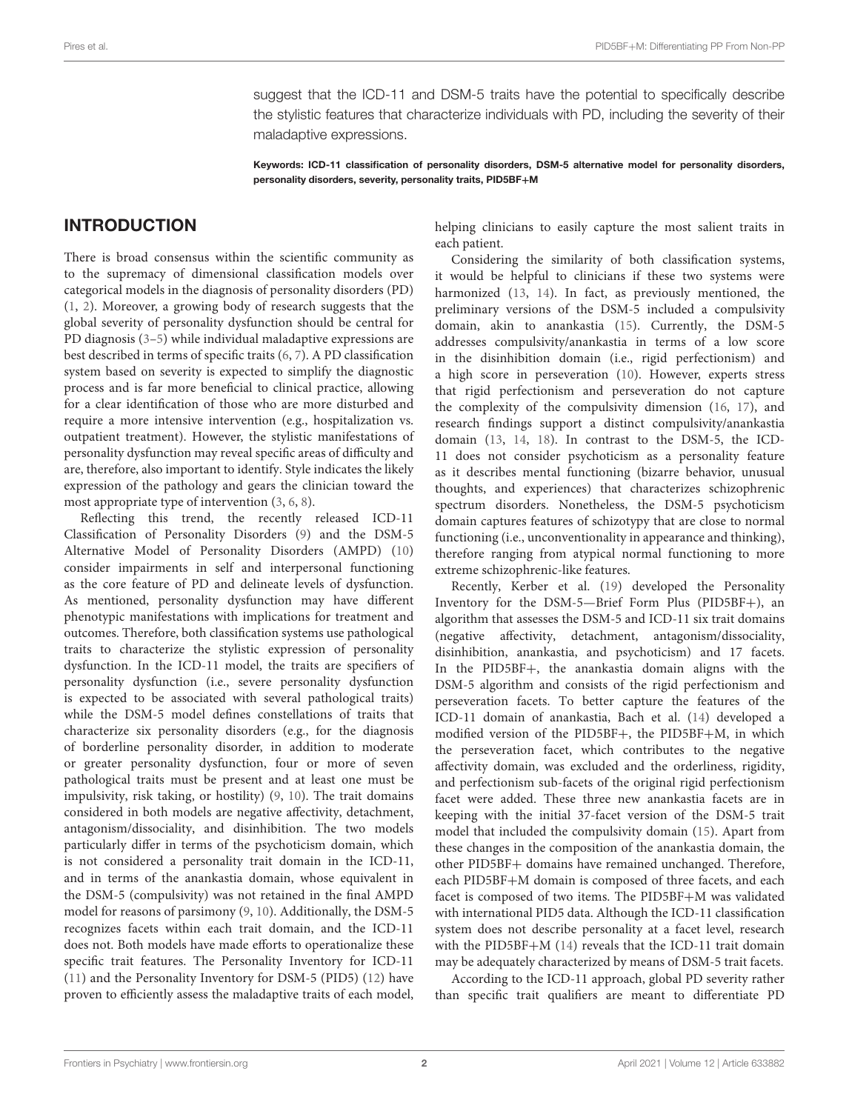suggest that the ICD-11 and DSM-5 traits have the potential to specifically describe the stylistic features that characterize individuals with PD, including the severity of their maladaptive expressions.

Keywords: ICD-11 classification of personality disorders, DSM-5 alternative model for personality disorders, personality disorders, severity, personality traits, PID5BF+M

### INTRODUCTION

There is broad consensus within the scientific community as to the supremacy of dimensional classification models over categorical models in the diagnosis of personality disorders (PD) [\(1,](#page-6-0) [2\)](#page-6-1). Moreover, a growing body of research suggests that the global severity of personality dysfunction should be central for PD diagnosis [\(3–](#page-6-2)[5\)](#page-6-3) while individual maladaptive expressions are best described in terms of specific traits [\(6,](#page-6-4) [7\)](#page-6-5). A PD classification system based on severity is expected to simplify the diagnostic process and is far more beneficial to clinical practice, allowing for a clear identification of those who are more disturbed and require a more intensive intervention (e.g., hospitalization vs. outpatient treatment). However, the stylistic manifestations of personality dysfunction may reveal specific areas of difficulty and are, therefore, also important to identify. Style indicates the likely expression of the pathology and gears the clinician toward the most appropriate type of intervention [\(3,](#page-6-2) [6,](#page-6-4) [8\)](#page-6-6).

Reflecting this trend, the recently released ICD-11 Classification of Personality Disorders [\(9\)](#page-6-7) and the DSM-5 Alternative Model of Personality Disorders (AMPD) [\(10\)](#page-6-8) consider impairments in self and interpersonal functioning as the core feature of PD and delineate levels of dysfunction. As mentioned, personality dysfunction may have different phenotypic manifestations with implications for treatment and outcomes. Therefore, both classification systems use pathological traits to characterize the stylistic expression of personality dysfunction. In the ICD-11 model, the traits are specifiers of personality dysfunction (i.e., severe personality dysfunction is expected to be associated with several pathological traits) while the DSM-5 model defines constellations of traits that characterize six personality disorders (e.g., for the diagnosis of borderline personality disorder, in addition to moderate or greater personality dysfunction, four or more of seven pathological traits must be present and at least one must be impulsivity, risk taking, or hostility) [\(9,](#page-6-7) [10\)](#page-6-8). The trait domains considered in both models are negative affectivity, detachment, antagonism/dissociality, and disinhibition. The two models particularly differ in terms of the psychoticism domain, which is not considered a personality trait domain in the ICD-11, and in terms of the anankastia domain, whose equivalent in the DSM-5 (compulsivity) was not retained in the final AMPD model for reasons of parsimony [\(9,](#page-6-7) [10\)](#page-6-8). Additionally, the DSM-5 recognizes facets within each trait domain, and the ICD-11 does not. Both models have made efforts to operationalize these specific trait features. The Personality Inventory for ICD-11 [\(11\)](#page-6-9) and the Personality Inventory for DSM-5 (PID5) [\(12\)](#page-6-10) have proven to efficiently assess the maladaptive traits of each model, helping clinicians to easily capture the most salient traits in each patient.

Considering the similarity of both classification systems, it would be helpful to clinicians if these two systems were harmonized [\(13,](#page-6-11) [14\)](#page-6-12). In fact, as previously mentioned, the preliminary versions of the DSM-5 included a compulsivity domain, akin to anankastia [\(15\)](#page-6-13). Currently, the DSM-5 addresses compulsivity/anankastia in terms of a low score in the disinhibition domain (i.e., rigid perfectionism) and a high score in perseveration [\(10\)](#page-6-8). However, experts stress that rigid perfectionism and perseveration do not capture the complexity of the compulsivity dimension [\(16,](#page-6-14) [17\)](#page-6-15), and research findings support a distinct compulsivity/anankastia domain [\(13,](#page-6-11) [14,](#page-6-12) [18\)](#page-6-16). In contrast to the DSM-5, the ICD-11 does not consider psychoticism as a personality feature as it describes mental functioning (bizarre behavior, unusual thoughts, and experiences) that characterizes schizophrenic spectrum disorders. Nonetheless, the DSM-5 psychoticism domain captures features of schizotypy that are close to normal functioning (i.e., unconventionality in appearance and thinking), therefore ranging from atypical normal functioning to more extreme schizophrenic-like features.

Recently, Kerber et al. [\(19\)](#page-6-17) developed the Personality Inventory for the DSM-5—Brief Form Plus (PID5BF+), an algorithm that assesses the DSM-5 and ICD-11 six trait domains (negative affectivity, detachment, antagonism/dissociality, disinhibition, anankastia, and psychoticism) and 17 facets. In the PID5BF+, the anankastia domain aligns with the DSM-5 algorithm and consists of the rigid perfectionism and perseveration facets. To better capture the features of the ICD-11 domain of anankastia, Bach et al. [\(14\)](#page-6-12) developed a modified version of the PID5BF+, the PID5BF+M, in which the perseveration facet, which contributes to the negative affectivity domain, was excluded and the orderliness, rigidity, and perfectionism sub-facets of the original rigid perfectionism facet were added. These three new anankastia facets are in keeping with the initial 37-facet version of the DSM-5 trait model that included the compulsivity domain [\(15\)](#page-6-13). Apart from these changes in the composition of the anankastia domain, the other PID5BF+ domains have remained unchanged. Therefore, each PID5BF+M domain is composed of three facets, and each facet is composed of two items. The PID5BF+M was validated with international PID5 data. Although the ICD-11 classification system does not describe personality at a facet level, research with the PID5BF+M [\(14\)](#page-6-12) reveals that the ICD-11 trait domain may be adequately characterized by means of DSM-5 trait facets.

According to the ICD-11 approach, global PD severity rather than specific trait qualifiers are meant to differentiate PD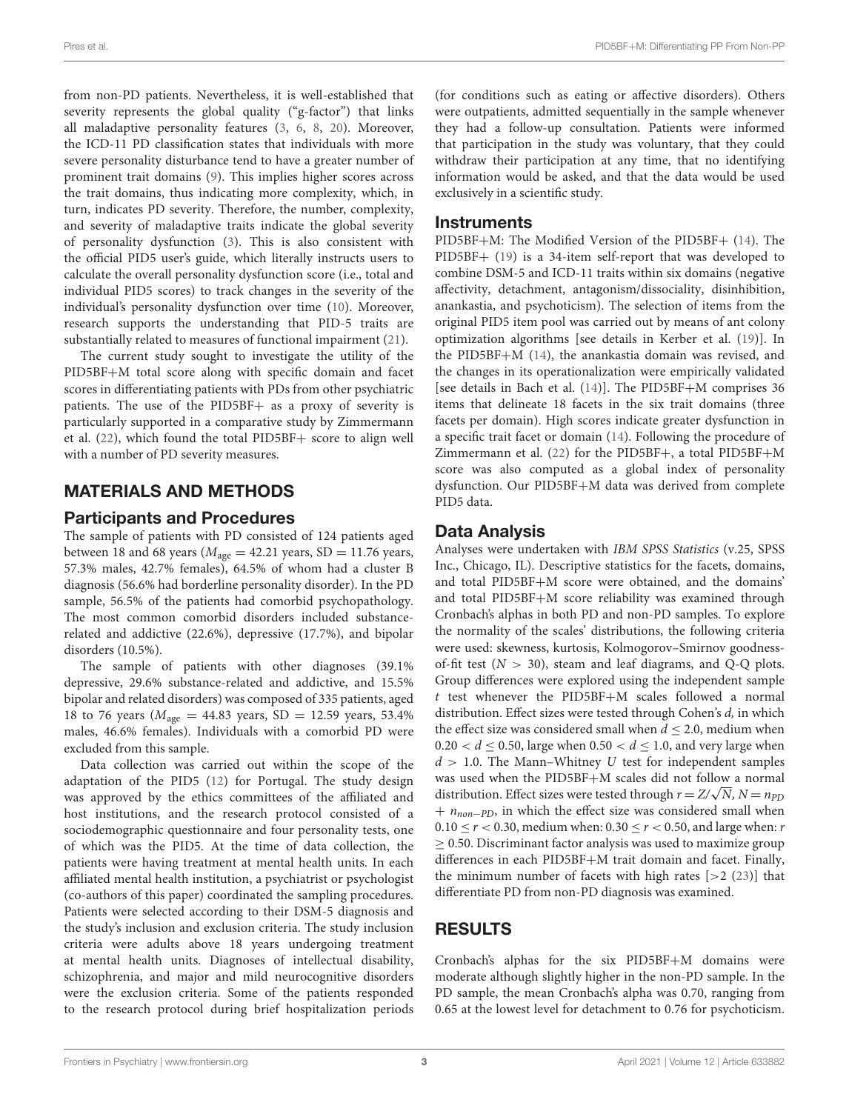from non-PD patients. Nevertheless, it is well-established that severity represents the global quality ("g-factor") that links all maladaptive personality features [\(3,](#page-6-2) [6,](#page-6-4) [8,](#page-6-6) [20\)](#page-6-18). Moreover, the ICD-11 PD classification states that individuals with more severe personality disturbance tend to have a greater number of prominent trait domains [\(9\)](#page-6-7). This implies higher scores across the trait domains, thus indicating more complexity, which, in turn, indicates PD severity. Therefore, the number, complexity, and severity of maladaptive traits indicate the global severity of personality dysfunction [\(3\)](#page-6-2). This is also consistent with the official PID5 user's guide, which literally instructs users to calculate the overall personality dysfunction score (i.e., total and individual PID5 scores) to track changes in the severity of the individual's personality dysfunction over time [\(10\)](#page-6-8). Moreover, research supports the understanding that PID-5 traits are substantially related to measures of functional impairment [\(21\)](#page-6-19).

The current study sought to investigate the utility of the PID5BF+M total score along with specific domain and facet scores in differentiating patients with PDs from other psychiatric patients. The use of the PID5BF+ as a proxy of severity is particularly supported in a comparative study by Zimmermann et al. [\(22\)](#page-6-20), which found the total PID5BF+ score to align well with a number of PD severity measures.

# MATERIALS AND METHODS

### Participants and Procedures

The sample of patients with PD consisted of 124 patients aged between 18 and 68 years ( $M_{\text{age}} = 42.21$  years, SD = 11.76 years, 57.3% males, 42.7% females), 64.5% of whom had a cluster B diagnosis (56.6% had borderline personality disorder). In the PD sample, 56.5% of the patients had comorbid psychopathology. The most common comorbid disorders included substancerelated and addictive (22.6%), depressive (17.7%), and bipolar disorders (10.5%).

The sample of patients with other diagnoses (39.1% depressive, 29.6% substance-related and addictive, and 15.5% bipolar and related disorders) was composed of 335 patients, aged 18 to 76 years ( $M_{\text{age}} = 44.83$  years, SD = 12.59 years, 53.4% males, 46.6% females). Individuals with a comorbid PD were excluded from this sample.

Data collection was carried out within the scope of the adaptation of the PID5 [\(12\)](#page-6-10) for Portugal. The study design was approved by the ethics committees of the affiliated and host institutions, and the research protocol consisted of a sociodemographic questionnaire and four personality tests, one of which was the PID5. At the time of data collection, the patients were having treatment at mental health units. In each affiliated mental health institution, a psychiatrist or psychologist (co-authors of this paper) coordinated the sampling procedures. Patients were selected according to their DSM-5 diagnosis and the study's inclusion and exclusion criteria. The study inclusion criteria were adults above 18 years undergoing treatment at mental health units. Diagnoses of intellectual disability, schizophrenia, and major and mild neurocognitive disorders were the exclusion criteria. Some of the patients responded to the research protocol during brief hospitalization periods (for conditions such as eating or affective disorders). Others were outpatients, admitted sequentially in the sample whenever they had a follow-up consultation. Patients were informed that participation in the study was voluntary, that they could withdraw their participation at any time, that no identifying information would be asked, and that the data would be used exclusively in a scientific study.

### **Instruments**

PID5BF+M: The Modified Version of the PID5BF+ [\(14\)](#page-6-12). The PID5BF+ [\(19\)](#page-6-17) is a 34-item self-report that was developed to combine DSM-5 and ICD-11 traits within six domains (negative affectivity, detachment, antagonism/dissociality, disinhibition, anankastia, and psychoticism). The selection of items from the original PID5 item pool was carried out by means of ant colony optimization algorithms [see details in Kerber et al. [\(19\)](#page-6-17)]. In the PID5BF+M [\(14\)](#page-6-12), the anankastia domain was revised, and the changes in its operationalization were empirically validated [see details in Bach et al. [\(14\)](#page-6-12)]. The PID5BF+M comprises 36 items that delineate 18 facets in the six trait domains (three facets per domain). High scores indicate greater dysfunction in a specific trait facet or domain [\(14\)](#page-6-12). Following the procedure of Zimmermann et al. [\(22\)](#page-6-20) for the PID5BF+, a total PID5BF+M score was also computed as a global index of personality dysfunction. Our PID5BF+M data was derived from complete PID5 data.

### Data Analysis

Analyses were undertaken with IBM SPSS Statistics (v.25, SPSS Inc., Chicago, IL). Descriptive statistics for the facets, domains, and total PID5BF+M score were obtained, and the domains' and total PID5BF+M score reliability was examined through Cronbach's alphas in both PD and non-PD samples. To explore the normality of the scales' distributions, the following criteria were used: skewness, kurtosis, Kolmogorov–Smirnov goodnessof-fit test  $(N > 30)$ , steam and leaf diagrams, and Q-Q plots. Group differences were explored using the independent sample t test whenever the PID5BF+M scales followed a normal distribution. Effect sizes were tested through Cohen's d, in which the effect size was considered small when  $d \leq 2.0$ , medium when  $0.20 < d \leq 0.50$ , large when  $0.50 < d \leq 1.0$ , and very large when  $d > 1.0$ . The Mann–Whitney U test for independent samples was used when the PID5BF+M scales did not follow a normal distribution. Effect sizes were tested through  $r = Z/\sqrt{N}$ ,  $N = n_{PD}$  $+ n_{non-PD}$ , in which the effect size was considered small when  $0.10 \le r < 0.30$ , medium when:  $0.30 \le r < 0.50$ , and large when: r  $\geq$  0.50. Discriminant factor analysis was used to maximize group differences in each PID5BF+M trait domain and facet. Finally, the minimum number of facets with high rates  $[>2 (23)]$  $[>2 (23)]$  $[>2 (23)]$  that differentiate PD from non-PD diagnosis was examined.

# RESULTS

Cronbach's alphas for the six PID5BF+M domains were moderate although slightly higher in the non-PD sample. In the PD sample, the mean Cronbach's alpha was 0.70, ranging from 0.65 at the lowest level for detachment to 0.76 for psychoticism.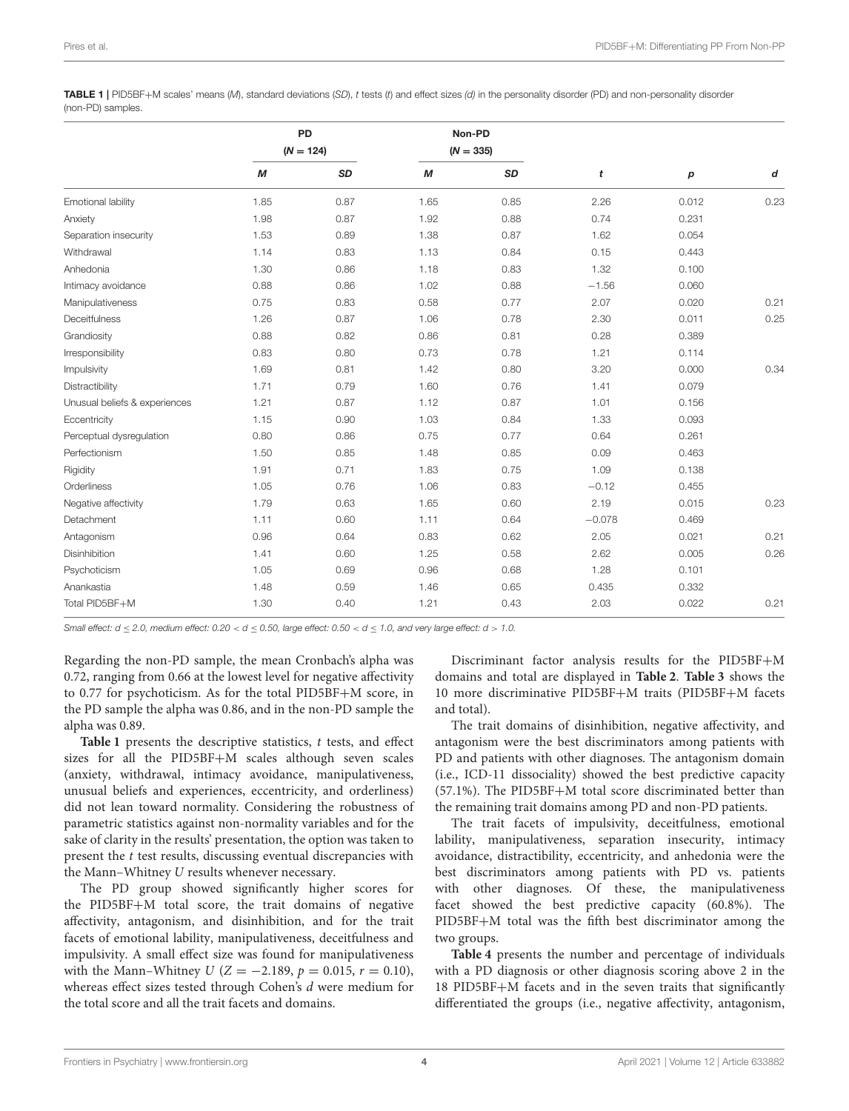<span id="page-3-0"></span>TABLE 1 | PID5BF+M scales' means (M), standard deviations (SD), t tests (t) and effect sizes (d) in the personality disorder (PD) and non-personality disorder (non-PD) samples.

|                               | PD<br>$(N = 124)$ |      | Non-PD<br>$(N = 335)$ |           |          |                  |      |
|-------------------------------|-------------------|------|-----------------------|-----------|----------|------------------|------|
|                               |                   |      |                       |           |          |                  |      |
|                               | М                 | SD   | М                     | <b>SD</b> | t        | $\boldsymbol{p}$ | d    |
| Emotional lability            | 1.85              | 0.87 | 1.65                  | 0.85      | 2.26     | 0.012            | 0.23 |
| Anxiety                       | 1.98              | 0.87 | 1.92                  | 0.88      | 0.74     | 0.231            |      |
| Separation insecurity         | 1.53              | 0.89 | 1.38                  | 0.87      | 1.62     | 0.054            |      |
| Withdrawal                    | 1.14              | 0.83 | 1.13                  | 0.84      | 0.15     | 0.443            |      |
| Anhedonia                     | 1.30              | 0.86 | 1.18                  | 0.83      | 1.32     | 0.100            |      |
| Intimacy avoidance            | 0.88              | 0.86 | 1.02                  | 0.88      | $-1.56$  | 0.060            |      |
| Manipulativeness              | 0.75              | 0.83 | 0.58                  | 0.77      | 2.07     | 0.020            | 0.21 |
| Deceitfulness                 | 1.26              | 0.87 | 1.06                  | 0.78      | 2.30     | 0.011            | 0.25 |
| Grandiosity                   | 0.88              | 0.82 | 0.86                  | 0.81      | 0.28     | 0.389            |      |
| Irresponsibility              | 0.83              | 0.80 | 0.73                  | 0.78      | 1.21     | 0.114            |      |
| Impulsivity                   | 1.69              | 0.81 | 1.42                  | 0.80      | 3.20     | 0.000            | 0.34 |
| Distractibility               | 1.71              | 0.79 | 1.60                  | 0.76      | 1.41     | 0.079            |      |
| Unusual beliefs & experiences | 1.21              | 0.87 | 1.12                  | 0.87      | 1.01     | 0.156            |      |
| Eccentricity                  | 1.15              | 0.90 | 1.03                  | 0.84      | 1.33     | 0.093            |      |
| Perceptual dysregulation      | 0.80              | 0.86 | 0.75                  | 0.77      | 0.64     | 0.261            |      |
| Perfectionism                 | 1.50              | 0.85 | 1.48                  | 0.85      | 0.09     | 0.463            |      |
| Rigidity                      | 1.91              | 0.71 | 1.83                  | 0.75      | 1.09     | 0.138            |      |
| Orderliness                   | 1.05              | 0.76 | 1.06                  | 0.83      | $-0.12$  | 0.455            |      |
| Negative affectivity          | 1.79              | 0.63 | 1.65                  | 0.60      | 2.19     | 0.015            | 0.23 |
| Detachment                    | 1.11              | 0.60 | 1.11                  | 0.64      | $-0.078$ | 0.469            |      |
| Antagonism                    | 0.96              | 0.64 | 0.83                  | 0.62      | 2.05     | 0.021            | 0.21 |
| <b>Disinhibition</b>          | 1.41              | 0.60 | 1.25                  | 0.58      | 2.62     | 0.005            | 0.26 |
| Psychoticism                  | 1.05              | 0.69 | 0.96                  | 0.68      | 1.28     | 0.101            |      |
| Anankastia                    | 1.48              | 0.59 | 1.46                  | 0.65      | 0.435    | 0.332            |      |
| Total PID5BF+M                | 1.30              | 0.40 | 1.21                  | 0.43      | 2.03     | 0.022            | 0.21 |

Small effect:  $d \le 2.0$ , medium effect:  $0.20 < d \le 0.50$ , large effect:  $0.50 < d \le 1.0$ , and very large effect:  $d > 1.0$ .

Regarding the non-PD sample, the mean Cronbach's alpha was 0.72, ranging from 0.66 at the lowest level for negative affectivity to 0.77 for psychoticism. As for the total PID5BF+M score, in the PD sample the alpha was 0.86, and in the non-PD sample the alpha was 0.89.

[Table 1](#page-3-0) presents the descriptive statistics, t tests, and effect sizes for all the PID5BF+M scales although seven scales (anxiety, withdrawal, intimacy avoidance, manipulativeness, unusual beliefs and experiences, eccentricity, and orderliness) did not lean toward normality. Considering the robustness of parametric statistics against non-normality variables and for the sake of clarity in the results' presentation, the option was taken to present the t test results, discussing eventual discrepancies with the Mann–Whitney U results whenever necessary.

The PD group showed significantly higher scores for the PID5BF+M total score, the trait domains of negative affectivity, antagonism, and disinhibition, and for the trait facets of emotional lability, manipulativeness, deceitfulness and impulsivity. A small effect size was found for manipulativeness with the Mann–Whitney  $U$  ( $Z = -2.189$ ,  $p = 0.015$ ,  $r = 0.10$ ), whereas effect sizes tested through Cohen's d were medium for the total score and all the trait facets and domains.

Discriminant factor analysis results for the PID5BF+M domains and total are displayed in **[Table 2](#page-4-0)**. **[Table 3](#page-4-1)** shows the 10 more discriminative PID5BF+M traits (PID5BF+M facets and total).

The trait domains of disinhibition, negative affectivity, and antagonism were the best discriminators among patients with PD and patients with other diagnoses. The antagonism domain (i.e., ICD-11 dissociality) showed the best predictive capacity (57.1%). The PID5BF+M total score discriminated better than the remaining trait domains among PD and non-PD patients.

The trait facets of impulsivity, deceitfulness, emotional lability, manipulativeness, separation insecurity, intimacy avoidance, distractibility, eccentricity, and anhedonia were the best discriminators among patients with PD vs. patients with other diagnoses. Of these, the manipulativeness facet showed the best predictive capacity (60.8%). The PID5BF+M total was the fifth best discriminator among the two groups.

**[Table 4](#page-5-0)** presents the number and percentage of individuals with a PD diagnosis or other diagnosis scoring above 2 in the 18 PID5BF+M facets and in the seven traits that significantly differentiated the groups (i.e., negative affectivity, antagonism,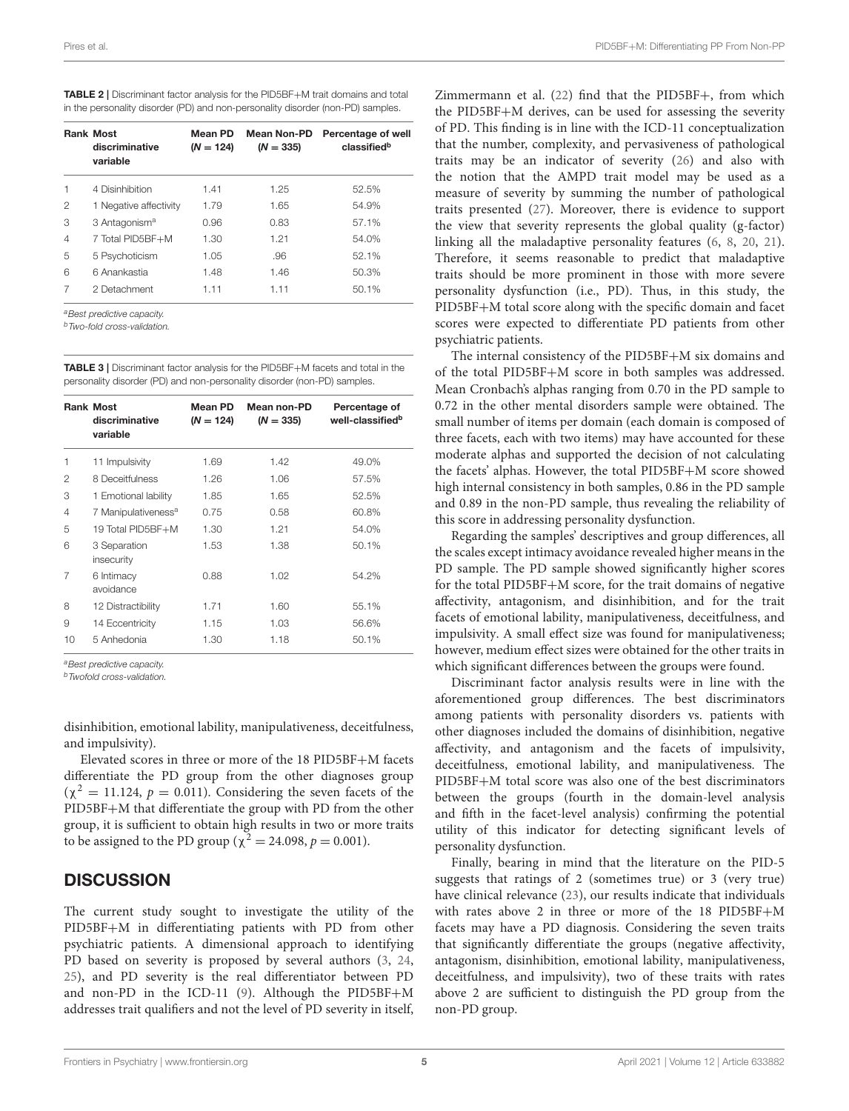<span id="page-4-0"></span>

| <b>TABLE 2</b>   Discriminant factor analysis for the PID5BF+M trait domains and total |
|----------------------------------------------------------------------------------------|
| in the personality disorder (PD) and non-personality disorder (non-PD) samples.        |

|                | <b>Rank Most</b><br>discriminative<br>variable | Mean PD<br>$(N = 124)$ | <b>Mean Non-PD</b><br>$(N = 335)$ | Percentage of well<br>classifiedb |
|----------------|------------------------------------------------|------------------------|-----------------------------------|-----------------------------------|
|                | 4 Disinhibition                                | 1.41                   | 1.25                              | 52.5%                             |
| 2              | 1 Negative affectivity                         | 1.79                   | 1.65                              | 54.9%                             |
| З              | 3 Antagonism <sup>a</sup>                      | 0.96                   | 0.83                              | 57.1%                             |
| $\overline{4}$ | 7 Total PID5BF+M                               | 1.30                   | 1.21                              | 54.0%                             |
| 5              | 5 Psychoticism                                 | 1.05                   | .96                               | 52.1%                             |
| 6              | 6 Anankastia                                   | 1.48                   | 1.46                              | 50.3%                             |
| 7              | 2 Detachment                                   | 1.11                   | 1.11                              | 50.1%                             |

a Best predictive capacity.

<sup>b</sup>Two-fold cross-validation.

<span id="page-4-1"></span>TABLE 3 | Discriminant factor analysis for the PID5BF+M facets and total in the personality disorder (PD) and non-personality disorder (non-PD) samples.

|                | <b>Rank Most</b><br>discriminative<br>variable | Mean PD<br>$(N = 124)$ | Mean non-PD<br>$(N = 335)$ | Percentage of<br>well-classified <sup>b</sup> |
|----------------|------------------------------------------------|------------------------|----------------------------|-----------------------------------------------|
| 1              | 11 Impulsivity                                 | 1.69                   | 1.42                       | 49.0%                                         |
| 2              | 8 Deceitfulness                                | 1.26                   | 1.06                       | 57.5%                                         |
| 3              | 1 Emotional lability                           | 1.85                   | 1.65                       | 52.5%                                         |
| $\overline{4}$ | 7 Manipulativeness <sup>a</sup>                | 0.75                   | 0.58                       | 60.8%                                         |
| 5              | 19 Total PID5BF+M                              | 1.30                   | 1.21                       | 54.0%                                         |
| 6              | 3 Separation<br>insecurity                     | 1.53                   | 1.38                       | 50.1%                                         |
| 7              | 6 Intimacy<br>avoidance                        | 0.88                   | 1.02                       | 54.2%                                         |
| 8              | 12 Distractibility                             | 1.71                   | 1.60                       | 55.1%                                         |
| 9              | 14 Eccentricity                                | 1.15                   | 1.03                       | 56.6%                                         |
| 10             | 5 Anhedonia                                    | 1.30                   | 1.18                       | 50.1%                                         |

a Best predictive capacity

<sup>b</sup>Twofold cross-validation.

disinhibition, emotional lability, manipulativeness, deceitfulness, and impulsivity).

Elevated scores in three or more of the 18 PID5BF+M facets differentiate the PD group from the other diagnoses group  $(\chi^2 = 11.124, p = 0.011)$ . Considering the seven facets of the PID5BF+M that differentiate the group with PD from the other group, it is sufficient to obtain high results in two or more traits to be assigned to the PD group ( $\chi^2 = 24.098, p = 0.001$ ).

#### **DISCUSSION**

The current study sought to investigate the utility of the PID5BF+M in differentiating patients with PD from other psychiatric patients. A dimensional approach to identifying PD based on severity is proposed by several authors [\(3,](#page-6-2) [24,](#page-6-22) [25\)](#page-6-23), and PD severity is the real differentiator between PD and non-PD in the ICD-11 [\(9\)](#page-6-7). Although the PID5BF+M addresses trait qualifiers and not the level of PD severity in itself,

Zimmermann et al. [\(22\)](#page-6-20) find that the PID5BF+, from which the PID5BF+M derives, can be used for assessing the severity of PD. This finding is in line with the ICD-11 conceptualization that the number, complexity, and pervasiveness of pathological traits may be an indicator of severity [\(26\)](#page-6-24) and also with the notion that the AMPD trait model may be used as a measure of severity by summing the number of pathological traits presented [\(27\)](#page-6-25). Moreover, there is evidence to support the view that severity represents the global quality (g-factor) linking all the maladaptive personality features [\(6,](#page-6-4) [8,](#page-6-6) [20,](#page-6-18) [21\)](#page-6-19). Therefore, it seems reasonable to predict that maladaptive traits should be more prominent in those with more severe personality dysfunction (i.e., PD). Thus, in this study, the PID5BF+M total score along with the specific domain and facet scores were expected to differentiate PD patients from other psychiatric patients.

The internal consistency of the PID5BF+M six domains and of the total PID5BF+M score in both samples was addressed. Mean Cronbach's alphas ranging from 0.70 in the PD sample to 0.72 in the other mental disorders sample were obtained. The small number of items per domain (each domain is composed of three facets, each with two items) may have accounted for these moderate alphas and supported the decision of not calculating the facets' alphas. However, the total PID5BF+M score showed high internal consistency in both samples, 0.86 in the PD sample and 0.89 in the non-PD sample, thus revealing the reliability of this score in addressing personality dysfunction.

Regarding the samples' descriptives and group differences, all the scales except intimacy avoidance revealed higher means in the PD sample. The PD sample showed significantly higher scores for the total PID5BF+M score, for the trait domains of negative affectivity, antagonism, and disinhibition, and for the trait facets of emotional lability, manipulativeness, deceitfulness, and impulsivity. A small effect size was found for manipulativeness; however, medium effect sizes were obtained for the other traits in which significant differences between the groups were found.

Discriminant factor analysis results were in line with the aforementioned group differences. The best discriminators among patients with personality disorders vs. patients with other diagnoses included the domains of disinhibition, negative affectivity, and antagonism and the facets of impulsivity, deceitfulness, emotional lability, and manipulativeness. The PID5BF+M total score was also one of the best discriminators between the groups (fourth in the domain-level analysis and fifth in the facet-level analysis) confirming the potential utility of this indicator for detecting significant levels of personality dysfunction.

Finally, bearing in mind that the literature on the PID-5 suggests that ratings of 2 (sometimes true) or 3 (very true) have clinical relevance [\(23\)](#page-6-21), our results indicate that individuals with rates above 2 in three or more of the 18 PID5BF+M facets may have a PD diagnosis. Considering the seven traits that significantly differentiate the groups (negative affectivity, antagonism, disinhibition, emotional lability, manipulativeness, deceitfulness, and impulsivity), two of these traits with rates above 2 are sufficient to distinguish the PD group from the non-PD group.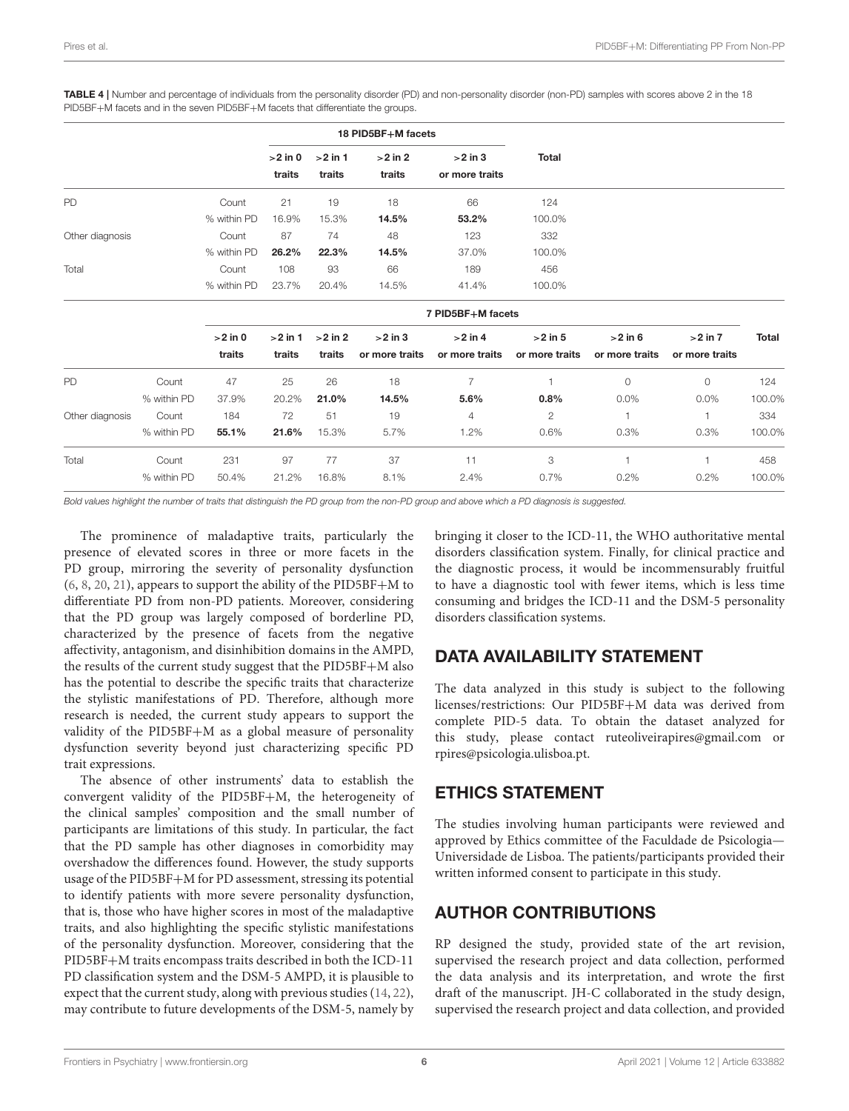|                 |             |             | 18 PID5BF+M facets |           |                     |                             |                |                |                |              |
|-----------------|-------------|-------------|--------------------|-----------|---------------------|-----------------------------|----------------|----------------|----------------|--------------|
|                 |             |             | $>2$ in 0          | $>2$ in 1 | $>2$ in 2<br>traits | $>2$ in 3<br>or more traits | <b>Total</b>   |                |                |              |
|                 |             |             | traits             | traits    |                     |                             |                |                |                |              |
| PD              |             | Count       | 21                 | 19        | 18                  | 66                          | 124            |                |                |              |
|                 |             | % within PD | 16.9%              | 15.3%     | 14.5%               | 53.2%                       | 100.0%         |                |                |              |
| Other diagnosis |             | Count       | 87                 | 74        | 48                  | 123                         | 332            |                |                |              |
|                 |             | % within PD | 26.2%              | 22.3%     | 14.5%               | 37.0%                       | 100.0%         |                |                |              |
| Total           |             | Count       | 108                | 93        | 66                  | 189                         | 456            |                |                |              |
|                 |             | % within PD | 23.7%              | 20.4%     | 14.5%               | 41.4%                       | 100.0%         |                |                |              |
|                 |             |             |                    |           |                     | 7 PID5BF+M facets           |                |                |                |              |
|                 |             | $>2$ in 0   | $>2$ in 1          | $>2$ in 2 | $>2$ in 3           | $>2$ in 4                   | $>2$ in 5      | $>2$ in 6      | $>2$ in $7$    | <b>Total</b> |
|                 |             | traits      | traits             | traits    | or more traits      | or more traits              | or more traits | or more traits | or more traits |              |
| PD              | Count       | 47          | 25                 | 26        | 18                  | $\overline{7}$              | 1              | $\circ$        | $\circ$        | 124          |
|                 | % within PD | 37.9%       | 20.2%              | 21.0%     | 14.5%               | 5.6%                        | 0.8%           | 0.0%           | 0.0%           | 100.0%       |
| Other diagnosis | Count       | 184         | 72                 | 51        | 19                  | 4                           | 2              | 1              | 1              | 334          |
|                 | % within PD | 55.1%       | 21.6%              | 15.3%     | 5.7%                | 1.2%                        | 0.6%           | 0.3%           | 0.3%           | 100.0%       |
| Total           | Count       | 231         | 97                 | 77        | 37                  | 11                          | 3              | 1              | $\mathbf{1}$   | 458          |
|                 | % within PD | 50.4%       | 21.2%              | 16.8%     | 8.1%                | 2.4%                        | 0.7%           | 0.2%           | 0.2%           | 100.0%       |

<span id="page-5-0"></span>TABLE 4 | Number and percentage of individuals from the personality disorder (PD) and non-personality disorder (non-PD) samples with scores above 2 in the 18 PID5BF+M facets and in the seven PID5BF+M facets that differentiate the groups.

Bold values highlight the number of traits that distinguish the PD group from the non-PD group and above which a PD diagnosis is suggested.

The prominence of maladaptive traits, particularly the presence of elevated scores in three or more facets in the PD group, mirroring the severity of personality dysfunction [\(6,](#page-6-4) [8,](#page-6-6) [20,](#page-6-18) [21\)](#page-6-19), appears to support the ability of the PID5BF+M to differentiate PD from non-PD patients. Moreover, considering that the PD group was largely composed of borderline PD, characterized by the presence of facets from the negative affectivity, antagonism, and disinhibition domains in the AMPD, the results of the current study suggest that the PID5BF+M also has the potential to describe the specific traits that characterize the stylistic manifestations of PD. Therefore, although more research is needed, the current study appears to support the validity of the PID5BF+M as a global measure of personality dysfunction severity beyond just characterizing specific PD trait expressions.

The absence of other instruments' data to establish the convergent validity of the PID5BF+M, the heterogeneity of the clinical samples' composition and the small number of participants are limitations of this study. In particular, the fact that the PD sample has other diagnoses in comorbidity may overshadow the differences found. However, the study supports usage of the PID5BF+M for PD assessment, stressing its potential to identify patients with more severe personality dysfunction, that is, those who have higher scores in most of the maladaptive traits, and also highlighting the specific stylistic manifestations of the personality dysfunction. Moreover, considering that the PID5BF+M traits encompass traits described in both the ICD-11 PD classification system and the DSM-5 AMPD, it is plausible to expect that the current study, along with previous studies [\(14,](#page-6-12) [22\)](#page-6-20), may contribute to future developments of the DSM-5, namely by bringing it closer to the ICD-11, the WHO authoritative mental disorders classification system. Finally, for clinical practice and the diagnostic process, it would be incommensurably fruitful to have a diagnostic tool with fewer items, which is less time consuming and bridges the ICD-11 and the DSM-5 personality disorders classification systems.

# DATA AVAILABILITY STATEMENT

The data analyzed in this study is subject to the following licenses/restrictions: Our PID5BF+M data was derived from complete PID-5 data. To obtain the dataset analyzed for this study, please contact [ruteoliveirapires@gmail.com](mailto:ruteoliveirapires@gmail.com) or [rpires@psicologia.ulisboa.pt.](mailto:rpires@psicologia.ulisboa.pt)

# ETHICS STATEMENT

The studies involving human participants were reviewed and approved by Ethics committee of the Faculdade de Psicologia— Universidade de Lisboa. The patients/participants provided their written informed consent to participate in this study.

### AUTHOR CONTRIBUTIONS

RP designed the study, provided state of the art revision, supervised the research project and data collection, performed the data analysis and its interpretation, and wrote the first draft of the manuscript. JH-C collaborated in the study design, supervised the research project and data collection, and provided